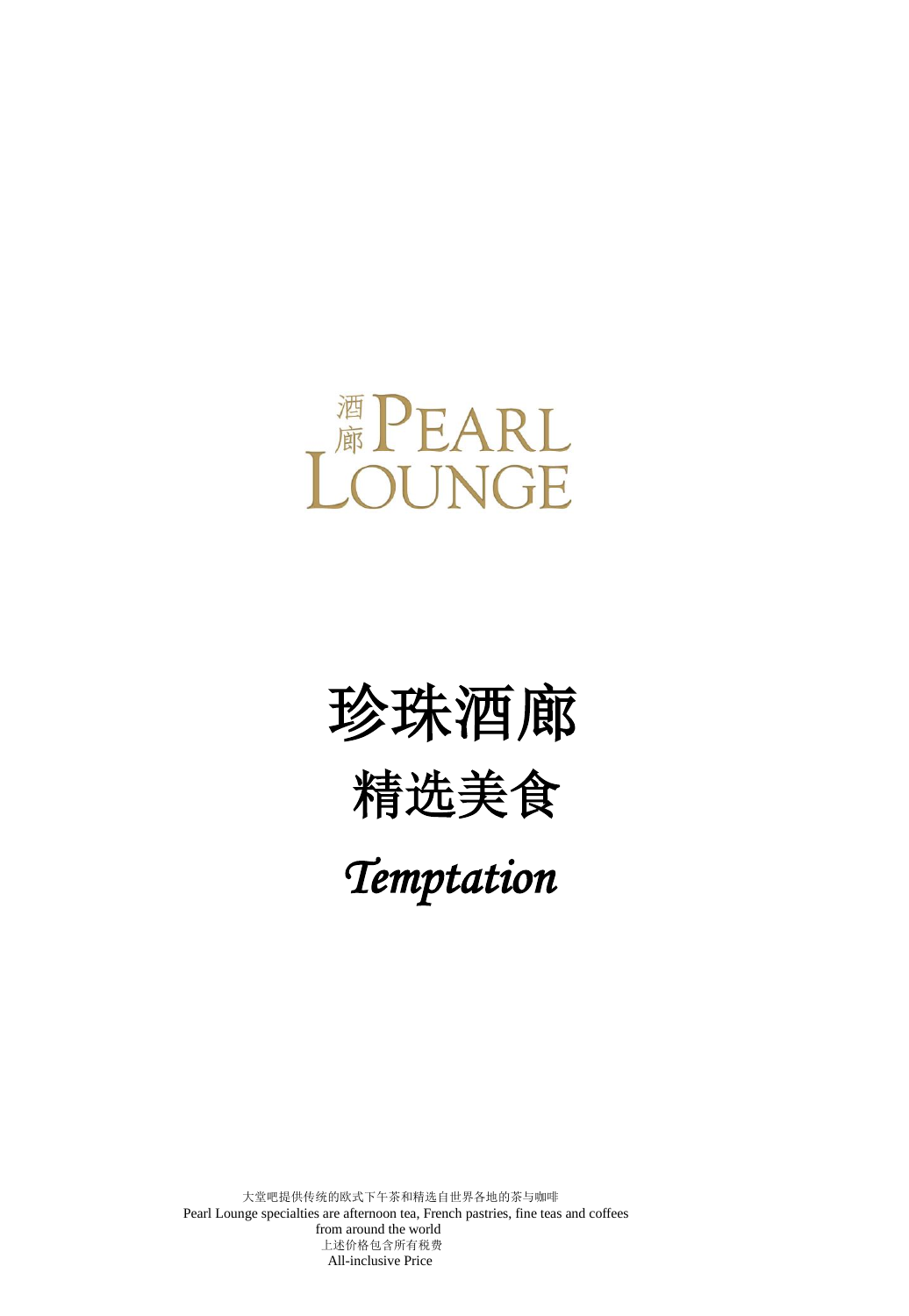## <sup>酒</sup>PEARL<br>OUNGE

## 珍珠酒廊 精选美食  *Temptation*

大堂吧提供传统的欧式下午茶和精选自世界各地的茶与咖啡 Pearl Lounge specialties are afternoon tea, French pastries, fine teas and coffees from around the world 上述价格包含所有税费 All-inclusive Price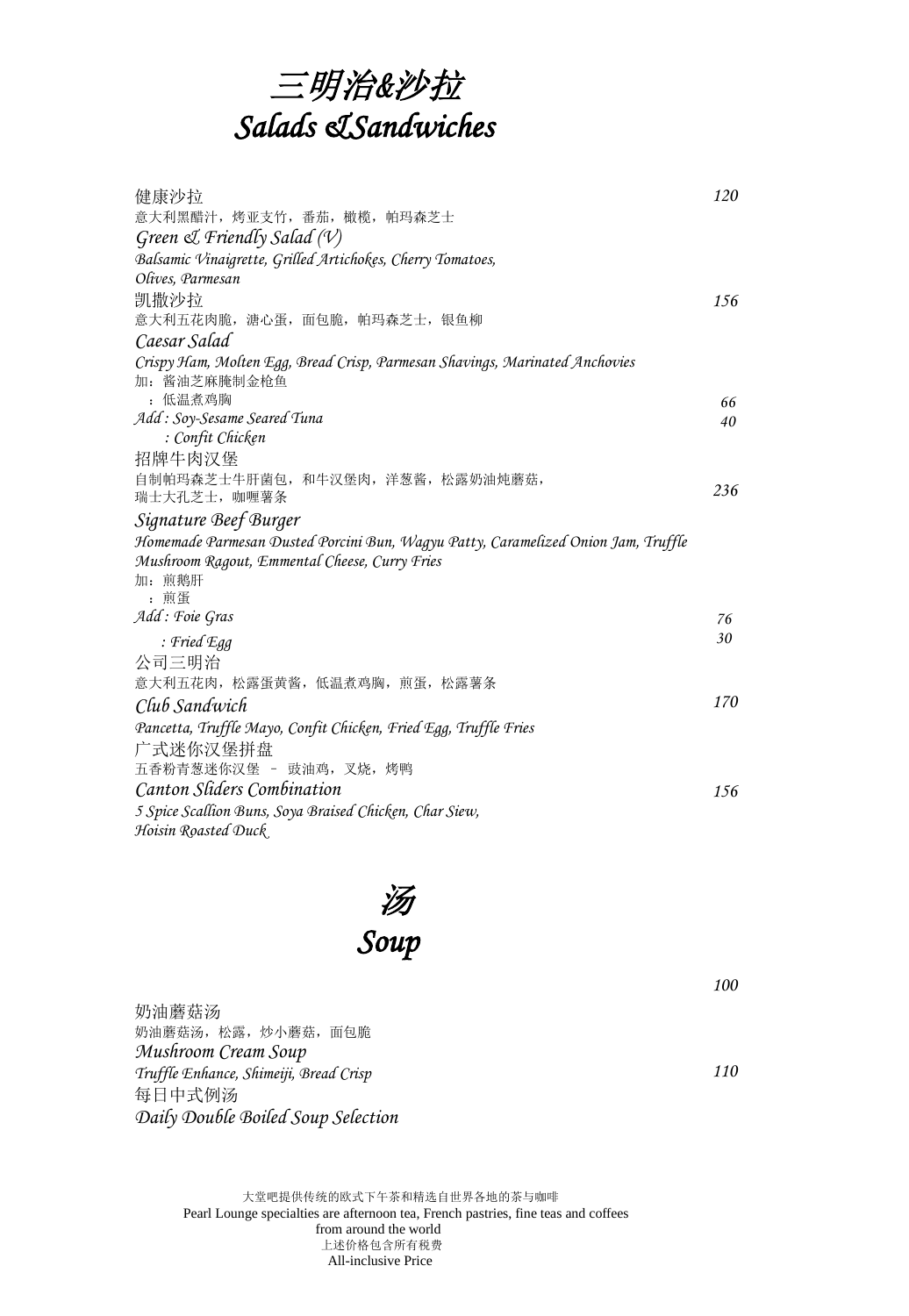

| 健康沙拉                                                                              | 120      |
|-----------------------------------------------------------------------------------|----------|
| 意大利黑醋汁,烤亚支竹,番茄,橄榄,帕玛森芝士                                                           |          |
| Green $\mathcal{A}$ Friendly Salad (V)                                            |          |
| Balsamic Vinaigrette, Grilled Artichokes, Cherry Tomatoes,                        |          |
| Olives, Parmesan                                                                  |          |
| 凯撒沙拉<br>意大利五花肉脆,溏心蛋,面包脆,帕玛森芝士,银鱼柳                                                 | 156      |
| Caesar Salad                                                                      |          |
| Crispy Ham, Molten Egg, Bread Crisp, Parmesan Shavings, Marinated Anchovies       |          |
| 加: 酱油芝麻腌制金枪鱼                                                                      |          |
| : 低温煮鸡胸                                                                           | 66       |
| Add: Soy-Sesame Seared Tuna                                                       | 40       |
| : Confit Chicken                                                                  |          |
| 招牌牛肉汉堡                                                                            |          |
| 自制帕玛森芝士牛肝菌包,和牛汉堡肉,洋葱酱,松露奶油炖蘑菇,                                                    | 236      |
| 瑞士大孔芝士, 咖喱薯条                                                                      |          |
| Signature Beef Burger                                                             |          |
| Homemade Parmesan Dusted Porcini Bun, Wagyu Patty, Caramelized Onion Jam, Truffle |          |
| Mushroom Ragout, Emmental Cheese, Curry Fries                                     |          |
| 加: 煎鹅肝                                                                            |          |
| : 煎蛋<br>Add: Foie Gras                                                            |          |
|                                                                                   | 76<br>30 |
| : Fried Egg                                                                       |          |
| 公司三明治                                                                             |          |
| 意大利五花肉,松露蛋黄酱,低温煮鸡胸,煎蛋,松露薯条                                                        | 170      |
| Club Sandwich                                                                     |          |
| Pancetta, Truffle Mayo, Confit Chicken, Fried Egg, Truffle Fries                  |          |
| 广式迷你汉堡拼盘                                                                          |          |
| 五香粉青葱迷你汉堡 - 豉油鸡, 叉烧, 烤鸭                                                           |          |
| Canton Sliders Combination                                                        | 156      |
| 5 Spice Scallion Buns, Soya Braised Chicken, Char Siew,                           |          |
| Hoisin Roasted Duck                                                               |          |

 汤  *Soup* 

奶油蘑菇汤 奶油蘑菇汤,松露,炒小蘑菇,面包脆 *Mushroom Cream Soup Truffle Enhance, Shimeiji, Bread Crisp* 每日中式例汤 *Daily Double Boiled Soup Selection*

*110* 

*100*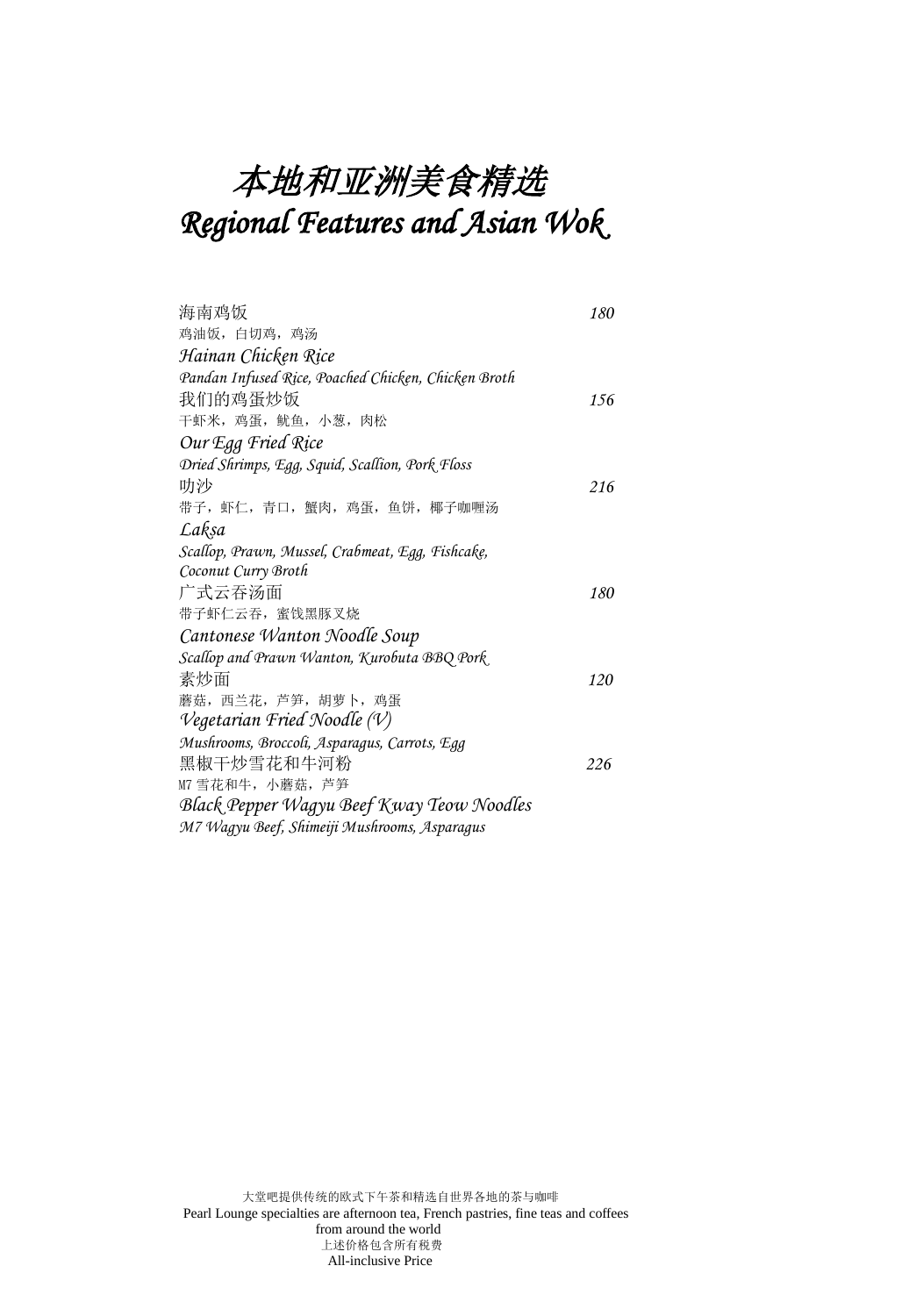## 本地和亚洲美食精选 *Regional Features and Asian Wok*

| 海南鸡饭                                                | 180 |
|-----------------------------------------------------|-----|
| 鸡油饭,白切鸡,鸡汤                                          |     |
| Hainan Chicken Rice                                 |     |
| Pandan Infused Rice, Poached Chicken, Chicken Broth |     |
| 我们的鸡蛋炒饭                                             | 156 |
| 干虾米, 鸡蛋, 鱿鱼, 小葱, 肉松                                 |     |
| Our Egg Fried Rice                                  |     |
| Dried Shrimps, Egg, Squid, Scallion, Pork Floss     |     |
| 叻沙                                                  | 216 |
| 带子, 虾仁, 青口, 蟹肉, 鸡蛋, 鱼饼, 椰子咖喱汤                       |     |
| Lakṣa                                               |     |
| Scallop, Prawn, Mussel, Crabmeat, Egg, Fishcake,    |     |
| Coconut Curry Broth                                 |     |
| 广式云吞汤面                                              | 180 |
| 带子虾仁云吞,蜜饯黑豚叉烧                                       |     |
| Cantonese Wanton Noodle Soup                        |     |
| Scallop and Prawn Wanton, Kurobuta BBQ Pork         |     |
| 素炒面                                                 | 120 |
| 蘑菇, 西兰花, 芦笋, 胡萝卜, 鸡蛋                                |     |
| Vegetarian Fried Noodle $(V)$                       |     |
| Mushrooms, Broccoli, Asparagus, Carrots, Egg        |     |
| 黑椒干炒雪花和牛河粉                                          | 226 |
| M7 雪花和牛,小蘑菇,芦笋                                      |     |
| Black Pepper Wagyu Beef Kway Teow Noodles           |     |
| M7 Wagyu Beef, Shimeiji Mushrooms, Asparagus        |     |